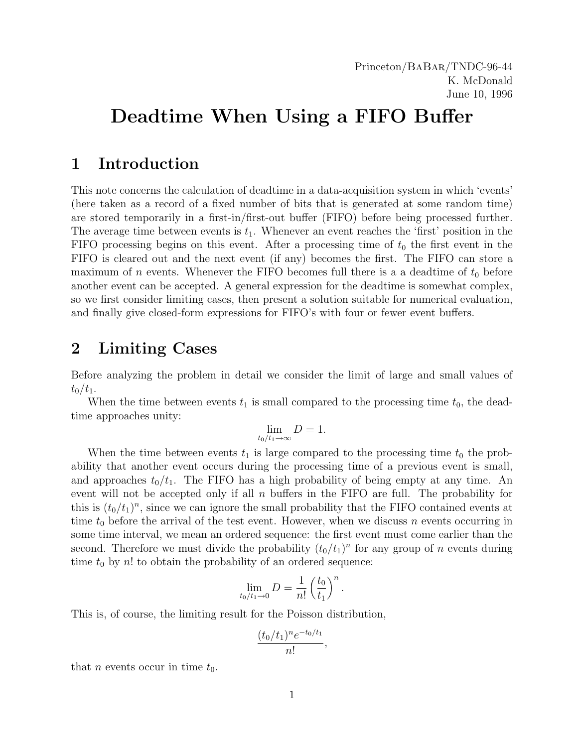# Deadtime When Using a FIFO Buffer

## 1 Introduction

This note concerns the calculation of deadtime in a data-acquisition system in which 'events' (here taken as a record of a fixed number of bits that is generated at some random time) are stored temporarily in a first-in/first-out buffer (FIFO) before being processed further. The average time between events is  $t_1$ . Whenever an event reaches the 'first' position in the FIFO processing begins on this event. After a processing time of  $t_0$  the first event in the FIFO is cleared out and the next event (if any) becomes the first. The FIFO can store a maximum of n events. Whenever the FIFO becomes full there is a a deadtime of  $t_0$  before another event can be accepted. A general expression for the deadtime is somewhat complex, so we first consider limiting cases, then present a solution suitable for numerical evaluation, and finally give closed-form expressions for FIFO's with four or fewer event buffers.

# 2 Limiting Cases

Before analyzing the problem in detail we consider the limit of large and small values of  $t_0/t_1$ .

When the time between events  $t_1$  is small compared to the processing time  $t_0$ , the deadtime approaches unity:

$$
\lim_{t_0/t_1\to\infty}D=1.
$$

When the time between events  $t_1$  is large compared to the processing time  $t_0$  the probability that another event occurs during the processing time of a previous event is small, and approaches  $t_0/t_1$ . The FIFO has a high probability of being empty at any time. An event will not be accepted only if all  $n$  buffers in the FIFO are full. The probability for this is  $(t_0/t_1)^n$ , since we can ignore the small probability that the FIFO contained events at time  $t_0$  before the arrival of the test event. However, when we discuss n events occurring in some time interval, we mean an ordered sequence: the first event must come earlier than the second. Therefore we must divide the probability  $(t_0/t_1)^n$  for any group of n events during time  $t_0$  by n! to obtain the probability of an ordered sequence:

$$
\lim_{t_0/t_1 \to 0} D = \frac{1}{n!} \left(\frac{t_0}{t_1}\right)^n
$$

.

This is, of course, the limiting result for the Poisson distribution,

$$
\frac{(t_0/t_1)^n e^{-t_0/t_1}}{n!},
$$

that *n* events occur in time  $t_0$ .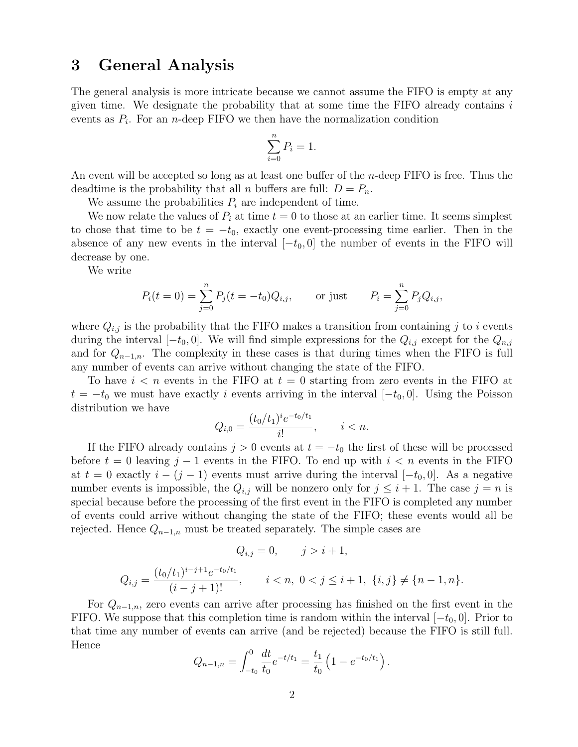### 3 General Analysis

The general analysis is more intricate because we cannot assume the FIFO is empty at any given time. We designate the probability that at some time the FIFO already contains  $i$ events as  $P_i$ . For an *n*-deep FIFO we then have the normalization condition

$$
\sum_{i=0}^{n} P_i = 1.
$$

An event will be accepted so long as at least one buffer of the *n*-deep FIFO is free. Thus the deadtime is the probability that all *n* buffers are full:  $D = P_n$ .

We assume the probabilities  $P_i$  are independent of time.

We now relate the values of  $P_i$  at time  $t = 0$  to those at an earlier time. It seems simplest to chose that time to be  $t = -t_0$ , exactly one event-processing time earlier. Then in the absence of any new events in the interval  $[-t_0, 0]$  the number of events in the FIFO will decrease by one.

We write

$$
P_i(t = 0) = \sum_{j=0}^{n} P_j(t = -t_0)Q_{i,j}
$$
, or just  $P_i = \sum_{j=0}^{n} P_jQ_{i,j}$ ,

where  $Q_{i,j}$  is the probability that the FIFO makes a transition from containing j to i events during the interval  $[-t_0, 0]$ . We will find simple expressions for the  $Q_{i,j}$  except for the  $Q_{n,j}$ and for  $Q_{n-1,n}$ . The complexity in these cases is that during times when the FIFO is full any number of events can arrive without changing the state of the FIFO.

To have  $i < n$  events in the FIFO at  $t = 0$  starting from zero events in the FIFO at  $t = -t_0$  we must have exactly i events arriving in the interval  $[-t_0, 0]$ . Using the Poisson distribution we have

$$
Q_{i,0} = \frac{(t_0/t_1)^i e^{-t_0/t_1}}{i!}, \qquad i < n.
$$

If the FIFO already contains  $j > 0$  events at  $t = -t_0$  the first of these will be processed before  $t = 0$  leaving  $j - 1$  events in the FIFO. To end up with  $i < n$  events in the FIFO at  $t = 0$  exactly  $i - (j - 1)$  events must arrive during the interval  $[-t_0, 0]$ . As a negative number events is impossible, the  $Q_{i,j}$  will be nonzero only for  $j \leq i+1$ . The case  $j = n$  is special because before the processing of the first event in the FIFO is completed any number of events could arrive without changing the state of the FIFO; these events would all be rejected. Hence  $Q_{n-1,n}$  must be treated separately. The simple cases are

$$
Q_{i,j} = 0, \qquad j > i+1,
$$
  

$$
Q_{i,j} = \frac{(t_0/t_1)^{i-j+1}e^{-t_0/t_1}}{(i-j+1)!}, \qquad i < n, \ 0 < j \le i+1, \ \{i, j\} \ne \{n-1, n\}.
$$

For  $Q_{n-1,n}$ , zero events can arrive after processing has finished on the first event in the FIFO. We suppose that this completion time is random within the interval  $[-t_0, 0]$ . Prior to that time any number of events can arrive (and be rejected) because the FIFO is still full. Hence

$$
Q_{n-1,n} = \int_{-t_0}^{0} \frac{dt}{t_0} e^{-t/t_1} = \frac{t_1}{t_0} \left( 1 - e^{-t_0/t_1} \right).
$$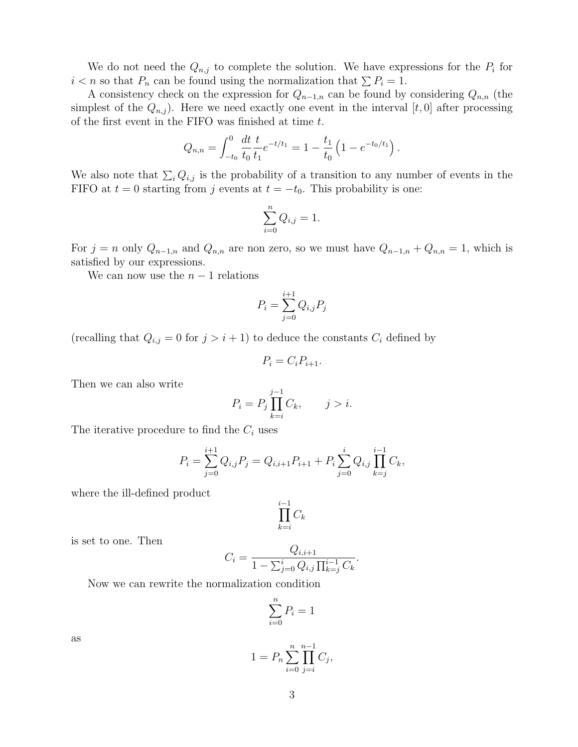We do not need the  $Q_{n,j}$  to complete the solution. We have expressions for the  $P_i$  for  $i < n$  so that  $P_n$  can be found using the normalization that  $\sum P_i = 1$ .

A consistency check on the expression for  $Q_{n-1,n}$  can be found by considering  $Q_{n,n}$  (the simplest of the  $Q_{n,j}$ ). Here we need exactly one event in the interval [t, 0] after processing of the first event in the FIFO was finished at time  $t$ .

$$
Q_{n,n} = \int_{-t_0}^{0} \frac{dt}{t_0} \frac{t}{t_1} e^{-t/t_1} = 1 - \frac{t_1}{t_0} \left( 1 - e^{-t_0/t_1} \right).
$$

We also note that  $\sum_i Q_{i,j}$  is the probability of a transition to any number of events in the FIFO at  $t = 0$  starting from j events at  $t = -t_0$ . This probability is one:

$$
\sum_{i=0}^{n} Q_{i,j} = 1.
$$

For  $j = n$  only  $Q_{n-1,n}$  and  $Q_{n,n}$  are non zero, so we must have  $Q_{n-1,n} + Q_{n,n} = 1$ , which is satisfied by our expressions.

We can now use the  $n-1$  relations

$$
P_i = \sum_{j=0}^{i+1} Q_{i,j} P_j
$$

(recalling that  $Q_{i,j} = 0$  for  $j > i + 1$ ) to deduce the constants  $C_i$  defined by

$$
P_i = C_i P_{i+1}.
$$

Then we can also write

$$
P_i = P_j \prod_{k=i}^{j-1} C_k, \qquad j > i.
$$

The iterative procedure to find the  $C_i$  uses

$$
P_i = \sum_{j=0}^{i+1} Q_{i,j} P_j = Q_{i,i+1} P_{i+1} + P_i \sum_{j=0}^{i} Q_{i,j} \prod_{k=j}^{i-1} C_k,
$$

where the ill-defined product

$$
\prod_{k=i}^{i-1} C_k
$$

is set to one. Then

$$
C_i = \frac{Q_{i,i+1}}{1 - \sum_{j=0}^{i} Q_{i,j} \prod_{k=j}^{i-1} C_k}.
$$

Now we can rewrite the normalization condition

$$
\sum_{i=0}^{n} P_i = 1
$$

as

$$
1 = P_n \sum_{i=0}^{n} \prod_{j=i}^{n-1} C_j,
$$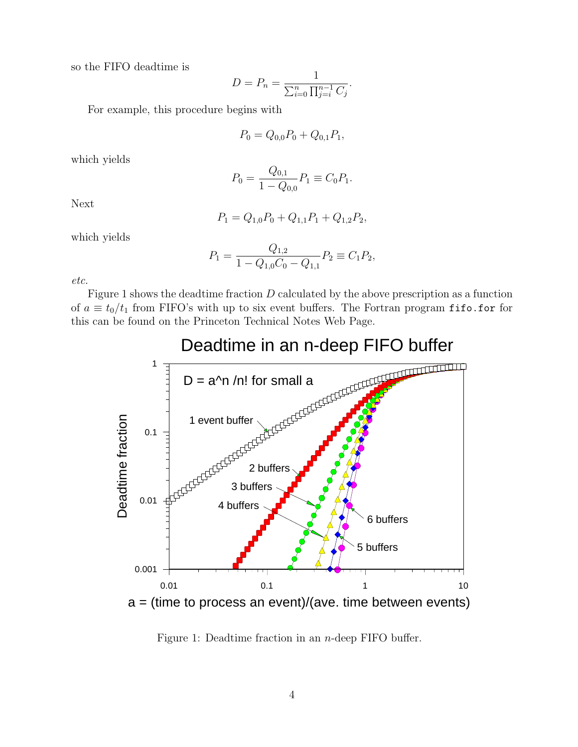so the FIFO deadtime is

$$
D = P_n = \frac{1}{\sum_{i=0}^n \prod_{j=i}^{n-1} C_j}.
$$

For example, this procedure begins with

$$
P_0 = Q_{0,0}P_0 + Q_{0,1}P_1,
$$

which yields

$$
P_0 = \frac{Q_{0,1}}{1 - Q_{0,0}} P_1 \equiv C_0 P_1.
$$

Next

$$
P_1 = Q_{1,0}P_0 + Q_{1,1}P_1 + Q_{1,2}P_2,
$$

which yields

$$
P_1 = \frac{Q_{1,2}}{1 - Q_{1,0}C_0 - Q_{1,1}} P_2 \equiv C_1 P_2,
$$

etc.

Figure 1 shows the deadtime fraction D calculated by the above prescription as a function of  $a \equiv t_0/t_1$  from FIFO's with up to six event buffers. The Fortran program fifo.for for this can be found on the Princeton Technical Notes Web Page.



#### Figure 1: Deadtime fraction in an n-deep FIFO buffer.